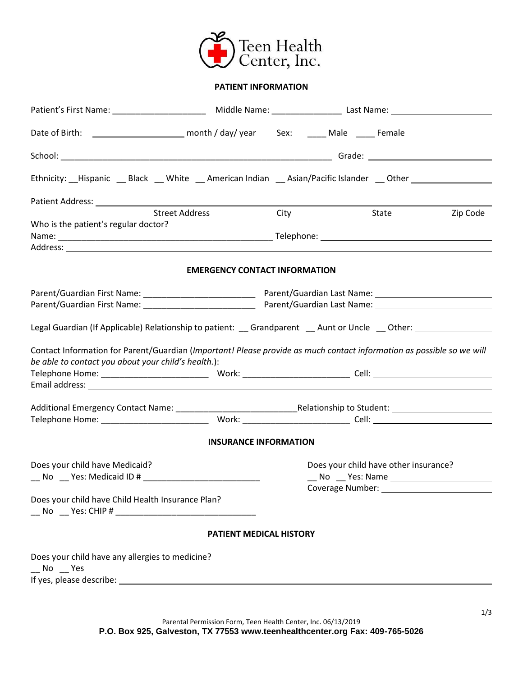

### **PATIENT INFORMATION**

| Date of Birth: \\ ___________________________ month / day/ year Sex: \rightarrow Male \times ______ Female                                                                   |                                      |            |                                       |          |
|------------------------------------------------------------------------------------------------------------------------------------------------------------------------------|--------------------------------------|------------|---------------------------------------|----------|
|                                                                                                                                                                              |                                      |            |                                       |          |
| Ethnicity: __Hispanic __ Black __ White __ American Indian __ Asian/Pacific Islander __ Other ____________                                                                   |                                      |            |                                       |          |
|                                                                                                                                                                              |                                      |            |                                       |          |
| <b>Street Address</b>                                                                                                                                                        |                                      | City State |                                       | Zip Code |
| Who is the patient's regular doctor?                                                                                                                                         |                                      |            |                                       |          |
|                                                                                                                                                                              |                                      |            |                                       |          |
|                                                                                                                                                                              |                                      |            |                                       |          |
|                                                                                                                                                                              | <b>EMERGENCY CONTACT INFORMATION</b> |            |                                       |          |
|                                                                                                                                                                              |                                      |            |                                       |          |
|                                                                                                                                                                              |                                      |            |                                       |          |
|                                                                                                                                                                              |                                      |            |                                       |          |
| Legal Guardian (If Applicable) Relationship to patient: _ Grandparent _ Aunt or Uncle _ Other: _ _ _ _ _ _ _ _                                                               |                                      |            |                                       |          |
| Contact Information for Parent/Guardian (Important! Please provide as much contact information as possible so we will<br>be able to contact you about your child's health.): |                                      |            |                                       |          |
|                                                                                                                                                                              |                                      |            |                                       |          |
|                                                                                                                                                                              |                                      |            |                                       |          |
|                                                                                                                                                                              |                                      |            |                                       |          |
|                                                                                                                                                                              |                                      |            |                                       |          |
|                                                                                                                                                                              | <b>INSURANCE INFORMATION</b>         |            |                                       |          |
| Does your child have Medicaid?                                                                                                                                               |                                      |            | Does your child have other insurance? |          |
|                                                                                                                                                                              |                                      |            |                                       |          |
| __ No __ Yes: Medicaid ID # _____________________________                                                                                                                    |                                      |            |                                       |          |
| Does your child have Child Health Insurance Plan?                                                                                                                            |                                      |            |                                       |          |
|                                                                                                                                                                              |                                      |            |                                       |          |
|                                                                                                                                                                              | PATIENT MEDICAL HISTORY              |            |                                       |          |
|                                                                                                                                                                              |                                      |            |                                       |          |
| Does your child have any allergies to medicine?<br>$N$ o $Y$ es                                                                                                              |                                      |            |                                       |          |
|                                                                                                                                                                              |                                      |            |                                       |          |
|                                                                                                                                                                              |                                      |            |                                       |          |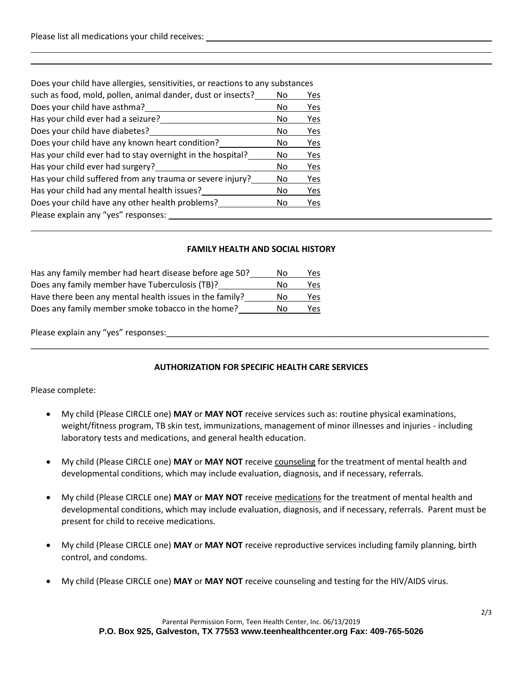| Does your child have allergies, sensitivities, or reactions to any substances |    |     |
|-------------------------------------------------------------------------------|----|-----|
| such as food, mold, pollen, animal dander, dust or insects?                   | No | Yes |
| Does your child have asthma?                                                  | No | Yes |
| Has your child ever had a seizure?                                            | No | Yes |
| Does your child have diabetes?                                                | No | Yes |
| Does your child have any known heart condition?                               | No | Yes |
| Has your child ever had to stay overnight in the hospital?                    | No | Yes |
| Has your child ever had surgery?                                              | No | Yes |
| Has your child suffered from any trauma or severe injury?                     | No | Yes |
| Has your child had any mental health issues?                                  | No | Yes |
| Does your child have any other health problems?                               | No | Yes |
| Please explain any "yes" responses:                                           |    |     |
|                                                                               |    |     |

### **FAMILY HEALTH AND SOCIAL HISTORY**

| Has any family member had heart disease before age 50?  | Nο | Yes  |
|---------------------------------------------------------|----|------|
| Does any family member have Tuberculosis (TB)?          | N٥ | Yes  |
| Have there been any mental health issues in the family? | Nο | Yes  |
| Does any family member smoke tobacco in the home?       | N٥ | Yes. |

Please explain any "yes" responses:

### **AUTHORIZATION FOR SPECIFIC HEALTH CARE SERVICES**

\_\_\_\_\_\_\_\_\_\_\_\_\_\_\_\_\_\_\_\_\_\_\_\_\_\_\_\_\_\_\_\_\_\_\_\_\_\_\_\_\_\_\_\_\_\_\_\_\_\_\_\_\_\_\_\_\_\_\_\_\_\_\_\_\_\_\_\_\_\_\_\_\_\_\_\_\_\_\_\_\_\_\_\_\_\_\_\_\_\_\_\_\_\_\_\_\_\_

Please complete:

- My child (Please CIRCLE one) **MAY** or **MAY NOT** receive services such as: routine physical examinations, weight/fitness program, TB skin test, immunizations, management of minor illnesses and injuries - including laboratory tests and medications, and general health education.
- My child (Please CIRCLE one) **MAY** or **MAY NOT** receive counseling for the treatment of mental health and developmental conditions, which may include evaluation, diagnosis, and if necessary, referrals.
- My child (Please CIRCLE one) **MAY** or **MAY NOT** receive medications for the treatment of mental health and developmental conditions, which may include evaluation, diagnosis, and if necessary, referrals. Parent must be present for child to receive medications.
- My child (Please CIRCLE one) **MAY** or **MAY NOT** receive reproductive services including family planning, birth control, and condoms.
- My child (Please CIRCLE one) **MAY** or **MAY NOT** receive counseling and testing for the HIV/AIDS virus.